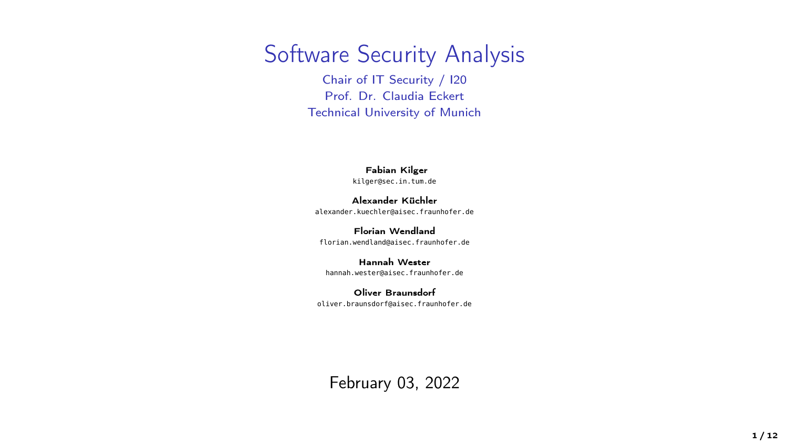### Software Security Analysis

Chair of IT Security / I20 Prof. Dr. Claudia Eckert Technical University of Munich

#### Fabian Kilger

<kilger@sec.in.tum.de>

Alexander Küchler <alexander.kuechler@aisec.fraunhofer.de>

Florian Wendland <florian.wendland@aisec.fraunhofer.de>

Hannah Wester <hannah.wester@aisec.fraunhofer.de>

Oliver Braunsdorf <oliver.braunsdorf@aisec.fraunhofer.de>

February 03, 2022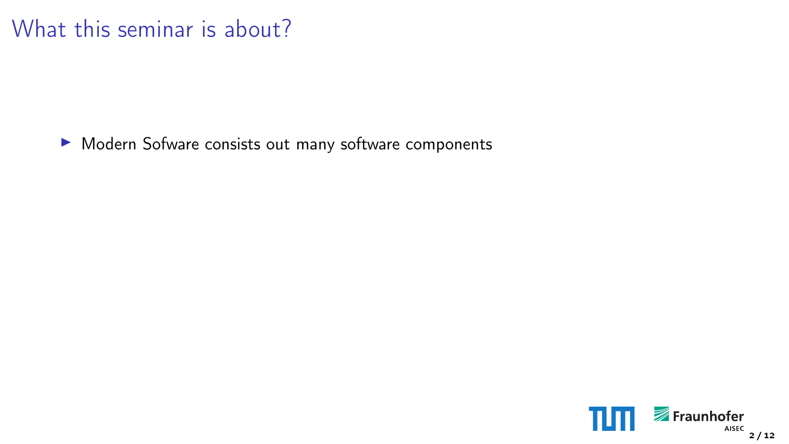### What this seminar is about?

▶ Modern Sofware consists out many software components

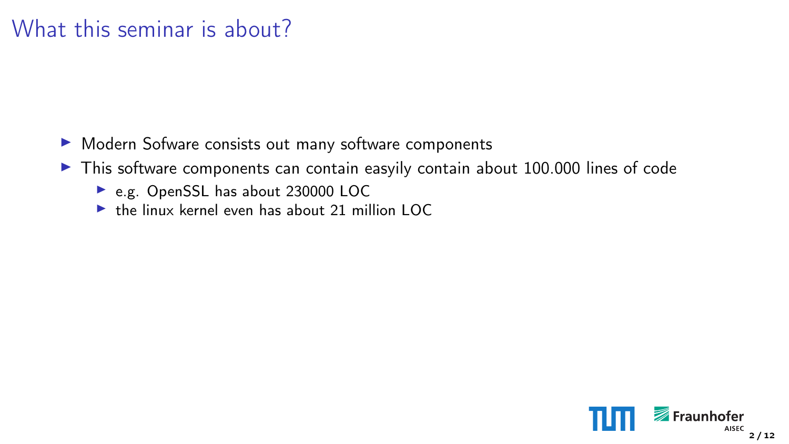- ▶ Modern Sofware consists out many software components
- $\blacktriangleright$  This software components can contain easyily contain about 100.000 lines of code
	- ► e.g. OpenSSL has about 230000 LOC
	- $\blacktriangleright$  the linux kernel even has about 21 million LOC

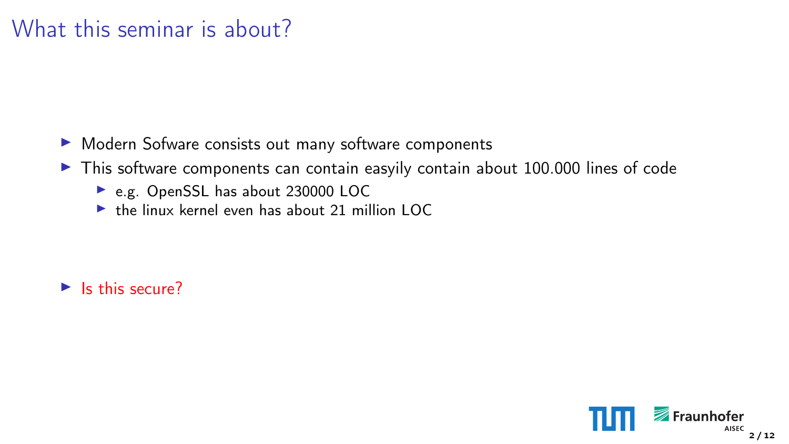- ▶ Modern Sofware consists out many software components
- $\blacktriangleright$  This software components can contain easyily contain about 100.000 lines of code
	- ► e.g. OpenSSL has about 230000 LOC
	- $\blacktriangleright$  the linux kernel even has about 21 million LOC

 $\blacktriangleright$  Is this secure?

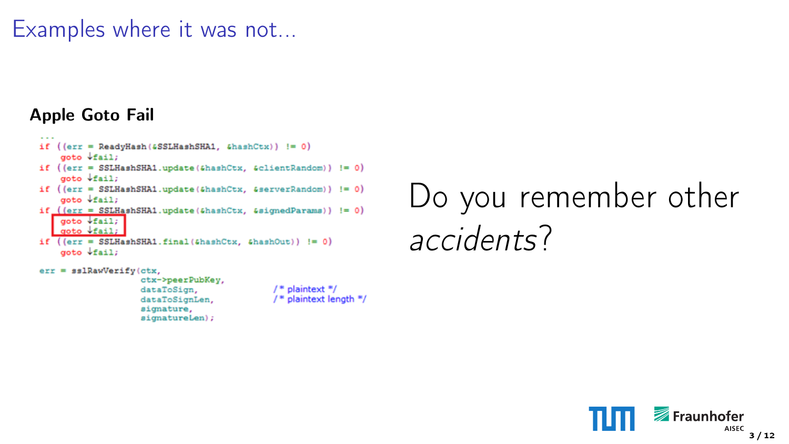### Examples where it was not...

#### Apple Goto Fail

```
if ((err = ReadvHash(5SSHashSHA1, ShashCtx)) := 0)qoto \sqrt{fail}if ((\text{err} = \text{SSLHashSHA1}.update(\text{GhashCut}, \text{GclientRandom})) := 0)qoto \sqrt{f}ail:
if ((err = SSLHaashSHA1.update(\delta hashCtx, \delta serverRandom)) := 0)goto Vfail;
if ((err = SSLHashSHA1.update(6hashCtx, 6sigmaHParams)) := 0)qots \leftrightarrow fail.anto \sqrt{a}11:
if ((err = SSLHashSHA1.final(shashCtx, shashOut))) := 0)qoto \sqrt{fail}
```

```
err = ss1RawVerify(ctx,
                   ctx->peerPubKey,
                   dataToSign.
                   dataToSignLen,
```
signature, signatureLen);

```
/* plaintext */
/* plaintext length */
```
Do you remember other accidents?

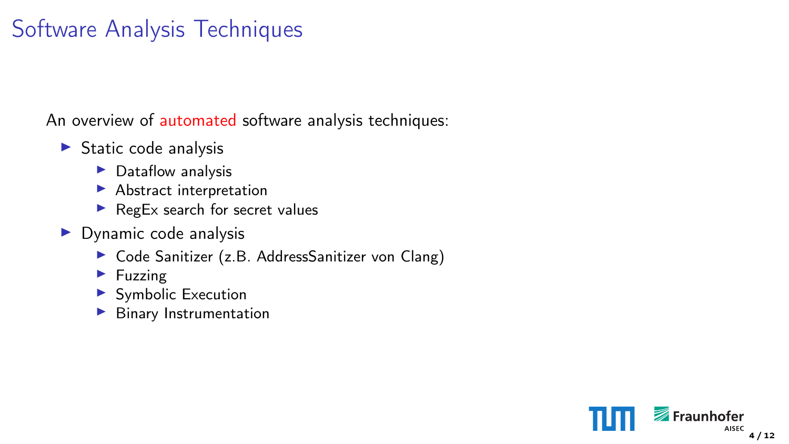### Software Analysis Techniques

An overview of automated software analysis techniques:

- $\blacktriangleright$  Static code analysis
	- $\blacktriangleright$  Dataflow analysis
	- $\blacktriangleright$  Abstract interpretation
	- $\blacktriangleright$  RegEx search for secret values
- $\triangleright$  Dynamic code analysis
	- $\triangleright$  Code Sanitizer (z.B. AddressSanitizer von Clang)
	- $\blacktriangleright$  Fuzzing
	- $\blacktriangleright$  Symbolic Execution
	- $\blacktriangleright$  Binary Instrumentation

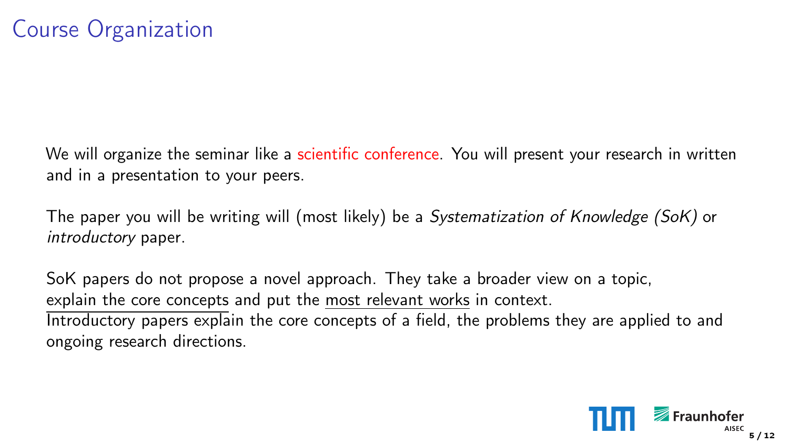We will organize the seminar like a scientific conference. You will present your research in written and in a presentation to your peers.

The paper you will be writing will (most likely) be a Systematization of Knowledge (SoK) or introductory paper.

SoK papers do not propose a novel approach. They take a broader view on a topic, explain the core concepts and put the most relevant works in context. Introductory papers explain the core concepts of a field, the problems they are applied to and ongoing research directions.

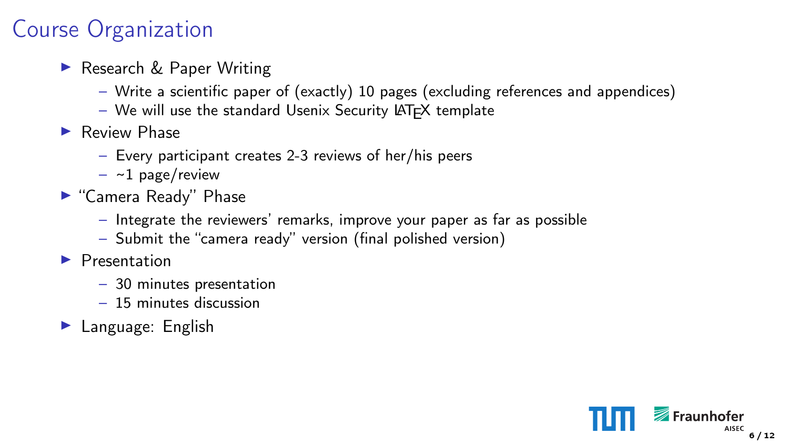### Course Organization

- ► Research & Paper Writing
	- Write a scientific paper of (exactly) 10 pages (excluding references and appendices)
	- $-$  We will use the standard Usenix Security LAT<sub>F</sub>X template
- $\blacktriangleright$  Review Phase
	- Every participant creates 2-3 reviews of her/his peers
	- $-$  ~1 page/review
- ► "Camera Ready" Phase
	- Integrate the reviewers' remarks, improve your paper as far as possible
	- Submit the "camera ready" version (final polished version)
- $\blacktriangleright$  Presentation
	- 30 minutes presentation
	- 15 minutes discussion
- $\blacktriangleright$  Language: English

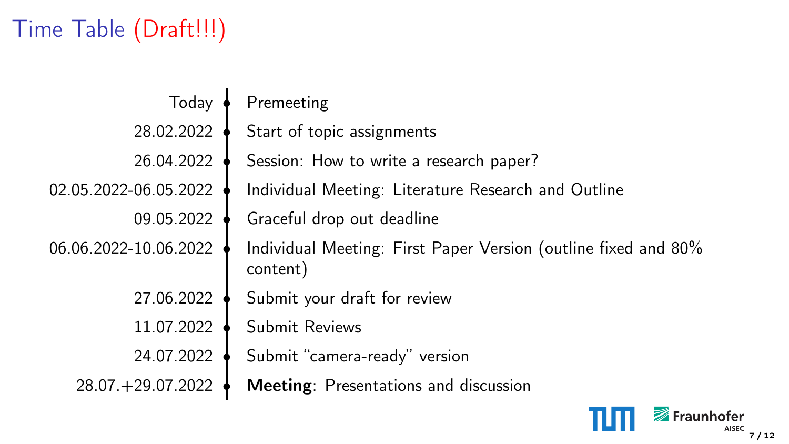## Time Table (Draft!!!)

| Today                 | Premeeting                                                                 |
|-----------------------|----------------------------------------------------------------------------|
| 28.02.2022            | Start of topic assignments                                                 |
| 26.04.2022            | Session: How to write a research paper?                                    |
| 02.05.2022-06.05.2022 | Individual Meeting: Literature Research and Outline                        |
| 09.05.2022            | Graceful drop out deadline                                                 |
| 06.06.2022-10.06.2022 | Individual Meeting: First Paper Version (outline fixed and 80%<br>content) |
| 27.06.2022            | Submit your draft for review                                               |
| 11.07.2022            | Submit Reviews                                                             |
| 24.07.2022            | Submit "camera-ready" version                                              |
| 28.07. + 29.07.2022   | Meeting: Presentations and discussion                                      |
|                       |                                                                            |

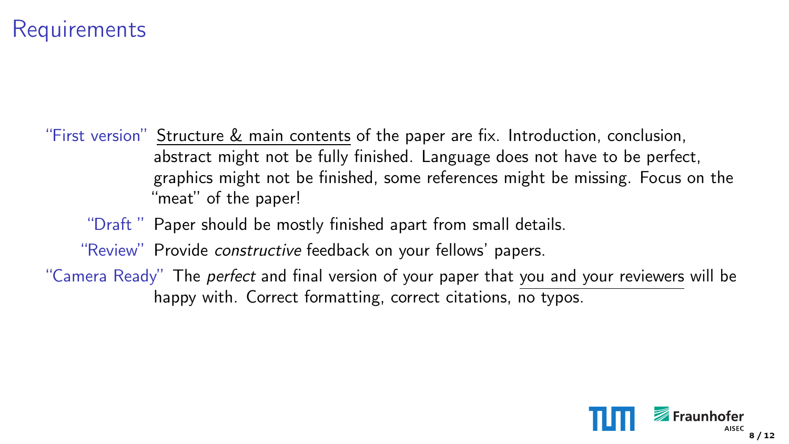### **Requirements**

"First version" Structure & main contents of the paper are fix. Introduction, conclusion, abstract might not be fully finished. Language does not have to be perfect, graphics might not be finished, some references might be missing. Focus on the "meat" of the paper!

"Draft " Paper should be mostly finished apart from small details.

"Review" Provide constructive feedback on your fellows' papers.

"Camera Ready" The *perfect* and final version of your paper that you and your reviewers will be happy with. Correct formatting, correct citations, no typos.

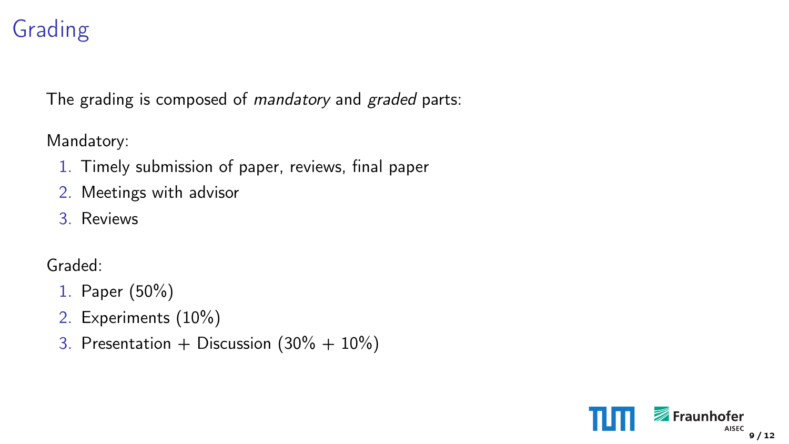### Grading

The grading is composed of *mandatory* and *graded* parts:

Mandatory:

- 1. Timely submission of paper, reviews, final paper
- 2. Meetings with advisor
- 3. Reviews

Graded:

- 1. Paper (50%)
- 2. Experiments (10%)
- 3. Presentation + Discussion  $(30\% + 10\%)$

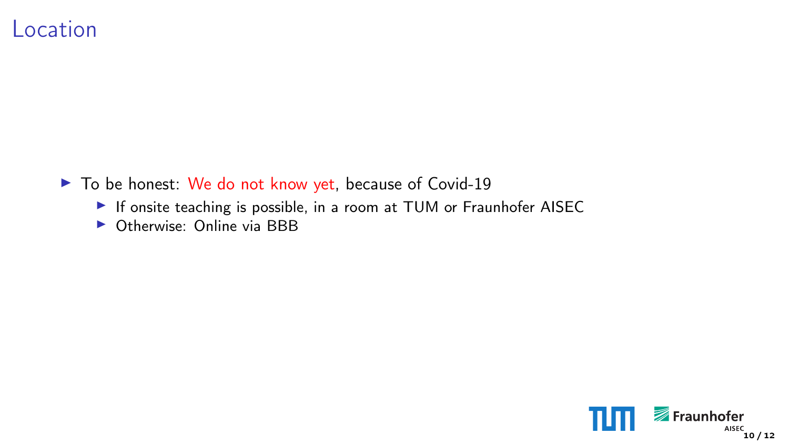#### Location

- $\blacktriangleright$  To be honest: We do not know yet, because of Covid-19
	- If onsite teaching is possible, in a room at TUM or Fraunhofer AISEC
	- $\triangleright$  Otherwise: Online via BBB

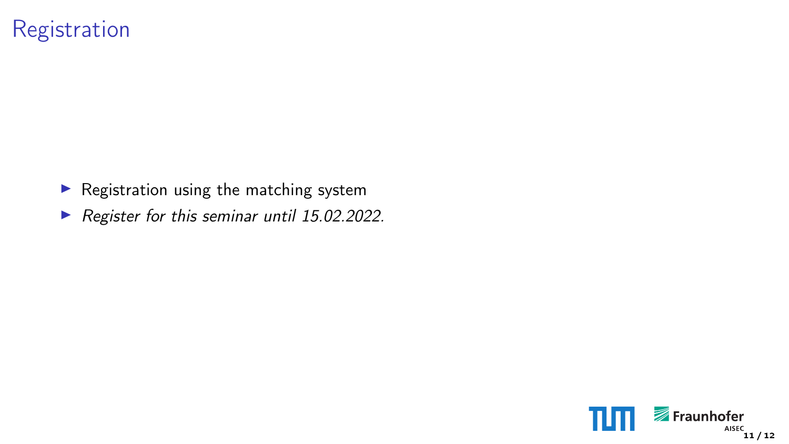### Registration

- $\blacktriangleright$  Registration using the matching system
- Register for this seminar until 15.02.2022.